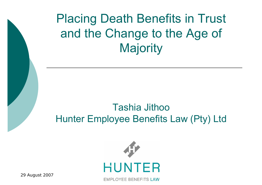Placing Death Benefits in Trust and the Change to the Age of **Majority** 

#### Tashia Jithoo Hunter Employee Benefits Law (Pty) Ltd



**EMPLOYEE BENEFITS LAW** 

29 August 2007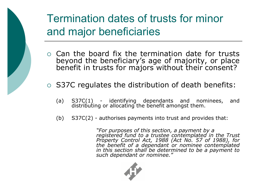

## Termination dates of trusts for minor and major beneficiaries

- $\circ$  Can the board fix the termination date for trusts beyond the beneficiary's age of majority, or place benefit in trusts for majors without their consent?
- o S37C regulates the distribution of death benefits:
	- (a) S37C(1) identifying dependants and nominees, and distributing or allocating the benefit amongst them.
	- (b)  $S37C(2)$  authorises payments into trust and provides that:

*"For purposes of this section, a payment by a registered fund to a trustee contemplated in the Trust Property Control Act, 1988 (Act No. 57 of 1988), for the benefit of a dependant or nominee contemplated in this section shall be determined to be a payment to such dependant or nominee."*

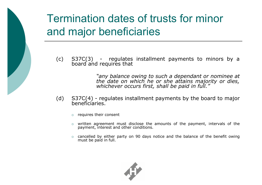### Termination dates of trusts for minor and major beneficiaries

 $(c)$  S37C(3) - regulates installment payments to minors by a board and requires that

> *"any balance owing to such a dependant or nominee at the date on which he or she attains majority or dies, whichever occurs first, shall be paid in full."*

- (d)  $S37C(4)$  regulates installment payments by the board to major beneficiaries.
	- $\circ$  requires their consent
	- $\circ$  written agreement must disclose the amounts of the payment, intervals of the payment, interest and other conditions.
	- $\circ$  cancelled by either party on 90 days notice and the balance of the benefit owing must be paid in full.

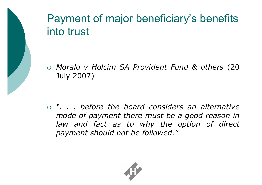

## Payment of major beneficiary's benefits into trust

° *Moralo v Holcim SA Provident Fund & others* (20 July 2007)

° *". . . before the board considers an alternative mode of payment there must be a good reason in law and fact as to why the option of direct payment should not be followed."*

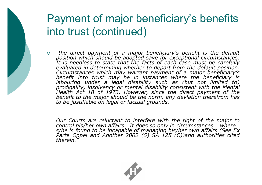#### Payment of major beneficiary's benefits into trust (continued)

° *"the direct payment of a major beneficiary's benefit is the default position which should be adopted save for exceptional circumstances. It is needless to state that the facts of each case must be carefully evaluated in determining whether to depart from the default position. Circumstances which may warrant payment of <sup>a</sup> major beneficiary's benefit into trust may be in instances where the beneficiary is labouring under a legal disability such as (but not limited to) prodigality, insolvency or mental disability consistent with the Mental Health Act 18 of 1973. However, since the direct payment of the benefit to the major should be the norm, any deviation therefrom has to be justifiable on legal or factual grounds.* 

*Our Courts are reluctant to interfere with the right of the major to control his/her own affairs. It does so only in circumstances where s/he is found to be incapable of managing his/her own affairs (See Ex Parte Oppel and Another 2002 (5) SA 125 (C))and authorities cited therein."*

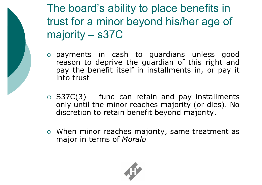The board's ability to place benefits in trust for a minor beyond his/her age of majority – s37C

- ° payments in cash to guardians unless good reason to deprive the guardian of this right and pay the benefit itself in installments in, or pay it into trust
- $\circ$  S37C(3) fund can retain and pay installments only until the minor reaches majority (or dies). No discretion to retain benefit beyond majority.
- $\circ$  When minor reaches majority, same treatment as major in terms of *Moralo*

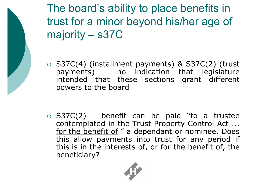The board's ability to place benefits in trust for a minor beyond his/her age of majority – s37C

 $\circ$  S37C(4) (installment payments) & S37C(2) (trust payments) – no indication that legislature intended that these sections grant different powers to the board

 $\circ$  S37C(2) - benefit can be paid "to a trustee contemplated in the Trust Property Control Act ... for the benefit of " a dependant or nominee. Does this allow payments into trust for any period if this is in the interests of, or for the benefit of, the beneficiary?

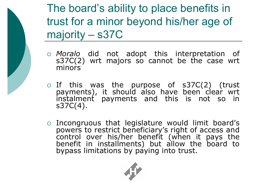The board's ability to place benefits in trust for a minor beyond his/her age of majority – s37C

- ° *Moralo* did not adopt this interpretation of  $s37C(2)$  wrt majors so cannot be the case wrt minors
- $\circ$  If this was the purpose of s37C(2) (trust payments), it should also have been clear wrt instalment payments and this is not so in s37C(4).
- $\circ$  Incongruous that legislature would limit board's powers to restrict beneficiary's right of access and control over his/her benefit (when it pays the benefit in installments) but allow the board to bypass limitations by paying into trust.

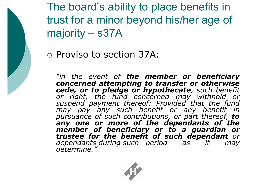

The board's ability to place benefits in trust for a minor beyond his/her age of majority – s37A

° Proviso to section 37A:

*"in the event of the member or beneficiary concerned attempting to transfer or otherwise cede, or to pledge or hypothecate, such benefit or right, the fund concerned may withhold or suspend payment thereof: Provided that the fund may pay any such benefit or any benefit in pursuance of such contributions, or part thereof, to any one or more of the dependants of the member of beneficiary or to a guardian or trustee for the benefit of such dependant or dependants during such period as it may determine."*

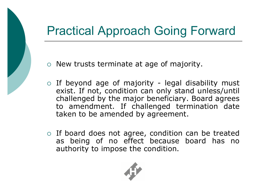# Practical Approach Going Forward

- o New trusts terminate at age of majority.
- $\circ$  If beyond age of majority legal disability must exist. If not, condition can only stand unless/until challenged by the major beneficiary. Board agrees to amendment. If challenged termination date taken to be amended by agreement.
- $\circ$  If board does not agree, condition can be treated as being of no effect because board has no authority to impose the condition.

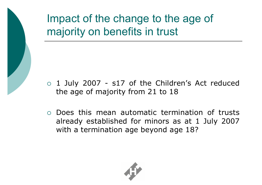

- $\circ$  1 July 2007 s17 of the Children's Act reduced the age of majority from 21 to 18
- ° Does this mean automatic termination of trusts already established for minors as at 1 July 2007 with a termination age beyond age 18?

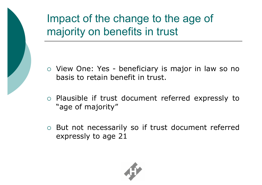

- o View One: Yes beneficiary is major in law so no basis to retain benefit in trust.
- ° Plausible if trust document referred expressly to "age of majority"
- ° But not necessarily so if trust document referred expressly to age 21

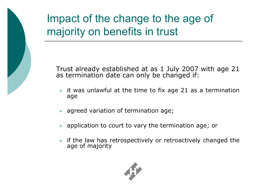

Trust already established at as 1 July 2007 with age 21 as termination date can only be changed if:

- it was unlawful at the time to fix age 21 as a termination age
- agreed variation of termination age;
- application to court to vary the termination age; or
- if the law has retrospectively or retroactively changed the age of majority

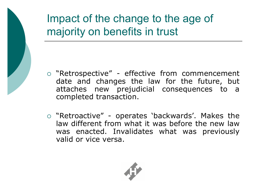

- o "Retrospective" effective from commencement date and changes the law for the future, but attaches new prejudicial consequences to a completed transaction.
- $\circ$  "Retroactive" operates 'backwards'. Makes the law different from what it was before the new law was enacted. Invalidates what was previously valid or vice versa.

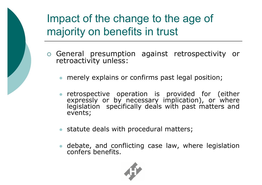

- ° General presumption against retrospectivity or retroactivity unless:
	- **•** merely explains or confirms past legal position;
	- **•** retrospective operation is provided for (either expressly or by necessary implication), or where legislation specifically deals with past matters and events;
	- **•** statute deals with procedural matters;
	- debate, and conflicting case law, where legislation confers benefits.

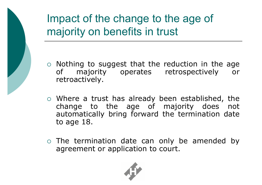

- $\circ$  Nothing to suggest that the reduction in the age of majority operates retrospectively or retroactively.
- $\circ$  Where a trust has already been established, the change to the age of majority does not automatically bring forward the termination date to age 18.
- $\circ$  The termination date can only be amended by agreement or application to court.

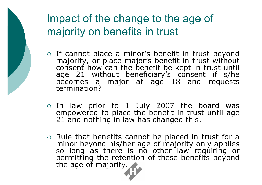

- o If cannot place a minor's benefit in trust beyond majority, or place major's benefit in trust without consent how can the benefit be kept in trust until age 21 without beneficiary's consent if s/he becomes a major at age 18 and requests termination?
- $\circ$  In law prior to 1 July 2007 the board was empowered to place the benefit in trust until age 21 and nothing in law has changed this.
- ° Rule that benefits cannot be placed in trust for a minor beyond his/her age of majority only applies so long as there is no other law requiring or permitting the retention of these benefits beyond the age of majority.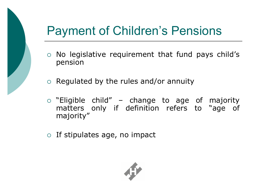# Payment of Children's Pensions

- ° No legislative requirement that fund pays child's pension
- $\circ$  Regulated by the rules and/or annuity
- $\circ$  "Eligible child" change to age of majority matters only if definition refers to "age of majority"
- $\circ$  If stipulates age, no impact